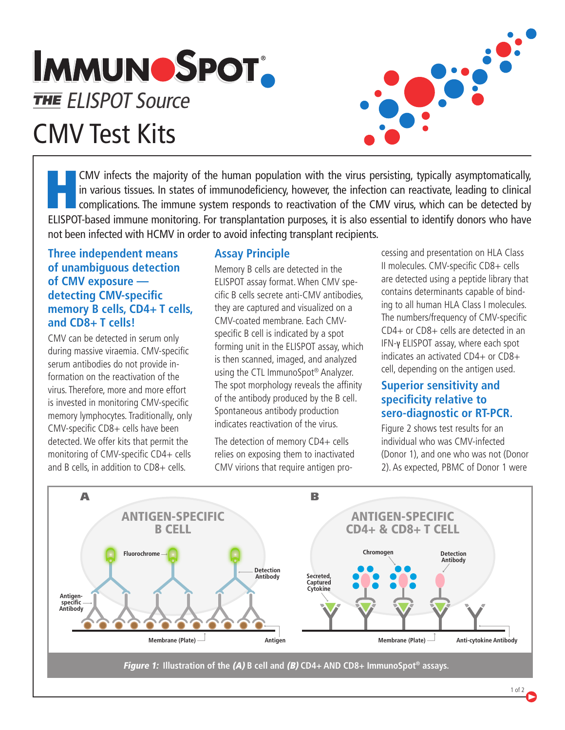## **IMMUNOSPOT.** THE ELISPOT Source CMV Test Kits



CMV infects the majority of the human population with the virus persisting, typically asymptomatically, in various tissues. In states of immunodeficiency, however, the infection can reactivate, leading to clinical complications. The immune system responds to reactivation of the CMV virus, which can be detected by ELISPOT-based immune monitoring. For transplantation purposes, it is also essential to identify donors who have not been infected with HCMV in order to avoid infecting transplant recipients.

#### **Three independent means of unambiguous detection of CMV exposure detecting CMV-specific memory B cells, CD4+ T cells, and CD8+ T cells!**

CMV can be detected in serum only during massive viraemia. CMV-specific serum antibodies do not provide information on the reactivation of the virus. Therefore, more and more effort is invested in monitoring CMV-specific memory lymphocytes. Traditionally, only CMV-specific CD8+ cells have been detected. We offer kits that permit the monitoring of CMV-specific CD4+ cells and B cells, in addition to CD8+ cells.

### **Assay Principle**

Memory B cells are detected in the ELISPOT assay format. When CMV specific B cells secrete anti-CMV antibodies, they are captured and visualized on a CMV-coated membrane. Each CMVspecific B cell is indicated by a spot forming unit in the ELISPOT assay, which is then scanned, imaged, and analyzed using the CTL ImmunoSpot® Analyzer. The spot morphology reveals the affinity of the antibody produced by the B cell. Spontaneous antibody production indicates reactivation of the virus.

The detection of memory CD4+ cells relies on exposing them to inactivated CMV virions that require antigen processing and presentation on HLA Class II molecules. CMV-specific CD8+ cells are detected using a peptide library that contains determinants capable of binding to all human HLA Class I molecules. The numbers/frequency of CMV-specific CD4+ or CD8+ cells are detected in an IFN-γ ELISPOT assay, where each spot indicates an activated CD4+ or CD8+ cell, depending on the antigen used.

#### **Superior sensitivity and specificity relative to sero-diagnostic or RT-PCR.**

Figure 2 shows test results for an individual who was CMV-infected (Donor 1), and one who was not (Donor 2). As expected, PBMC of Donor 1 were